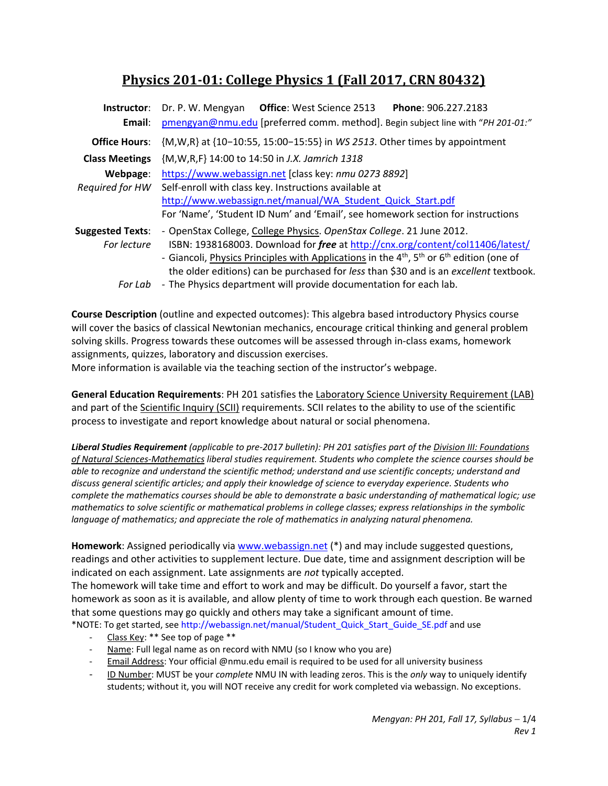# **Physics 201‐01: College Physics 1 (Fall 2017, CRN 80432)**

| Instructor:<br>Email:                  | <b>Office: West Science 2513</b><br>Phone: 906.227.2183<br>Dr. P. W. Mengyan<br>pmengyan@nmu.edu [preferred comm. method]. Begin subject line with "PH 201-01:"                                                                                                                                                                                            |  |  |  |  |
|----------------------------------------|------------------------------------------------------------------------------------------------------------------------------------------------------------------------------------------------------------------------------------------------------------------------------------------------------------------------------------------------------------|--|--|--|--|
| <b>Office Hours:</b>                   | {M, W, R} at {10-10:55, 15:00-15:55} in WS 2513. Other times by appointment                                                                                                                                                                                                                                                                                |  |  |  |  |
| <b>Class Meetings</b>                  | {M, W, R, F} 14:00 to 14:50 in J.X. Jamrich 1318                                                                                                                                                                                                                                                                                                           |  |  |  |  |
| Webpage:<br>Required for HW            | https://www.webassign.net [class key: nmu 0273 8892]<br>Self-enroll with class key. Instructions available at<br>http://www.webassign.net/manual/WA Student Quick Start.pdf<br>For 'Name', 'Student ID Num' and 'Email', see homework section for instructions                                                                                             |  |  |  |  |
| <b>Suggested Texts:</b><br>For lecture | - OpenStax College, College Physics. OpenStax College. 21 June 2012.<br>ISBN: 1938168003. Download for free at http://cnx.org/content/col11406/latest/<br>- Giancoli, Physics Principles with Applications in the $4^{th}$ , $5^{th}$ or $6^{th}$ edition (one of<br>the older editions) can be purchased for less than \$30 and is an excellent textbook. |  |  |  |  |
| For Lab                                | - The Physics department will provide documentation for each lab.                                                                                                                                                                                                                                                                                          |  |  |  |  |

**Course Description** (outline and expected outcomes): This algebra based introductory Physics course will cover the basics of classical Newtonian mechanics, encourage critical thinking and general problem solving skills. Progress towards these outcomes will be assessed through in‐class exams, homework assignments, quizzes, laboratory and discussion exercises.

More information is available via the teaching section of the instructor's webpage.

**General Education Requirements**: PH 201 satisfies the Laboratory Science University Requirement (LAB) and part of the Scientific Inquiry (SCII) requirements. SCII relates to the ability to use of the scientific process to investigate and report knowledge about natural or social phenomena.

*Liberal Studies Requirement (applicable to pre‐2017 bulletin): PH 201 satisfies part of the Division III: Foundations of Natural Sciences‐Mathematics liberal studies requirement. Students who complete the science courses should be able to recognize and understand the scientific method; understand and use scientific concepts; understand and discuss general scientific articles; and apply their knowledge of science to everyday experience. Students who complete the mathematics courses should be able to demonstrate a basic understanding of mathematical logic; use mathematics to solve scientific or mathematical problems in college classes; express relationships in the symbolic language of mathematics; and appreciate the role of mathematics in analyzing natural phenomena.* 

**Homework**: Assigned periodically via www.webassign.net (\*) and may include suggested questions, readings and other activities to supplement lecture. Due date, time and assignment description will be indicated on each assignment. Late assignments are *not* typically accepted.

The homework will take time and effort to work and may be difficult. Do yourself a favor, start the homework as soon as it is available, and allow plenty of time to work through each question. Be warned that some questions may go quickly and others may take a significant amount of time.

\*NOTE: To get started, see http://webassign.net/manual/Student\_Quick\_Start\_Guide\_SE.pdf and use

- Class Key: \*\* See top of page \*\*
- Name: Full legal name as on record with NMU (so I know who you are)
- ‐ Email Address: Your official @nmu.edu email is required to be used for all university business
- ‐ ID Number: MUST be your *complete* NMU IN with leading zeros. This is the *only* way to uniquely identify students; without it, you will NOT receive any credit for work completed via webassign. No exceptions.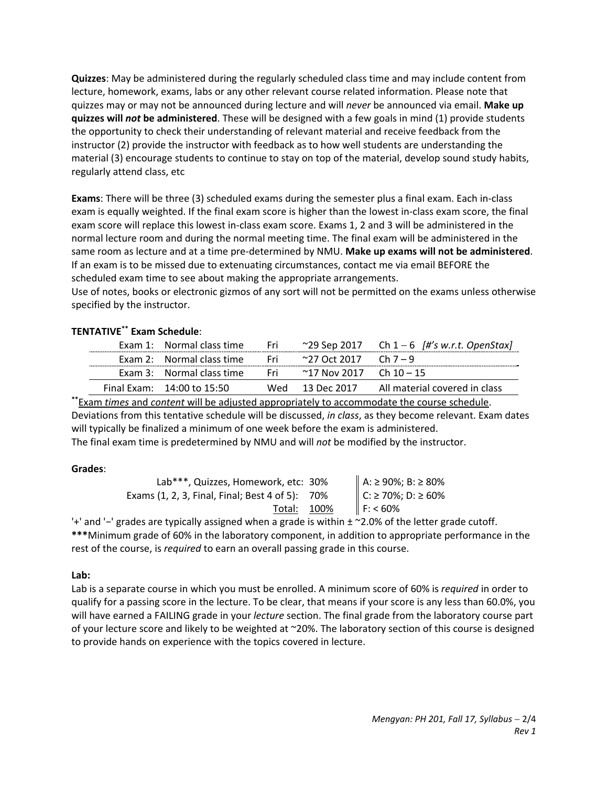**Quizzes**: May be administered during the regularly scheduled class time and may include content from lecture, homework, exams, labs or any other relevant course related information. Please note that quizzes may or may not be announced during lecture and will *never* be announced via email. **Make up quizzes will** *not* **be administered**. These will be designed with a few goals in mind (1) provide students the opportunity to check their understanding of relevant material and receive feedback from the instructor (2) provide the instructor with feedback as to how well students are understanding the material (3) encourage students to continue to stay on top of the material, develop sound study habits, regularly attend class, etc

**Exams**: There will be three (3) scheduled exams during the semester plus a final exam. Each in‐class exam is equally weighted. If the final exam score is higher than the lowest in‐class exam score, the final exam score will replace this lowest in‐class exam score. Exams 1, 2 and 3 will be administered in the normal lecture room and during the normal meeting time. The final exam will be administered in the same room as lecture and at a time pre‐determined by NMU. **Make up exams will not be administered**. If an exam is to be missed due to extenuating circumstances, contact me via email BEFORE the scheduled exam time to see about making the appropriate arrangements.

Use of notes, books or electronic gizmos of any sort will not be permitted on the exams unless otherwise specified by the instructor.

## **TENTATIVE\*\* Exam Schedule**:

| Exam 1: Normal class time  | - Fri |                                | ~29 Sep 2017 Ch $1-6$ /#'s w.r.t. OpenStax |
|----------------------------|-------|--------------------------------|--------------------------------------------|
| Exam 2: Normal class time  |       | Fri ~27 Oct 2017 Ch 7 – 9      |                                            |
| Exam 3: Normal class time  | - Fri | $\sim$ 17 Nov 2017  Ch 10 – 15 |                                            |
| Final Exam: 14:00 to 15:50 |       | Wed 13 Dec 2017                | All material covered in class              |

**\*\***Exam *times* and *content* will be adjusted appropriately to accommodate the course schedule. Deviations from this tentative schedule will be discussed, *in class*, as they become relevant. Exam dates will typically be finalized a minimum of one week before the exam is administered. The final exam time is predetermined by NMU and will *not* be modified by the instructor.

## **Grades**:

| Lab***, Quizzes, Homework, etc: 30%             | A: ≥ 90%; B: ≥ 80% |
|-------------------------------------------------|--------------------|
| Exams (1, 2, 3, Final, Final; Best 4 of 5): 70% | C: ≥ 70%; D: ≥ 60% |
| Total: 100%                                     | F: 60%             |

'+' and '−' grades are typically assigned when a grade is within ± ~2.0% of the letter grade cutoff. **\*\*\***Minimum grade of 60% in the laboratory component, in addition to appropriate performance in the rest of the course, is *required* to earn an overall passing grade in this course.

## **Lab:**

Lab is a separate course in which you must be enrolled. A minimum score of 60% is *required* in order to qualify for a passing score in the lecture. To be clear, that means if your score is any less than 60.0%, you will have earned a FAILING grade in your *lecture* section. The final grade from the laboratory course part of your lecture score and likely to be weighted at ~20%. The laboratory section of this course is designed to provide hands on experience with the topics covered in lecture.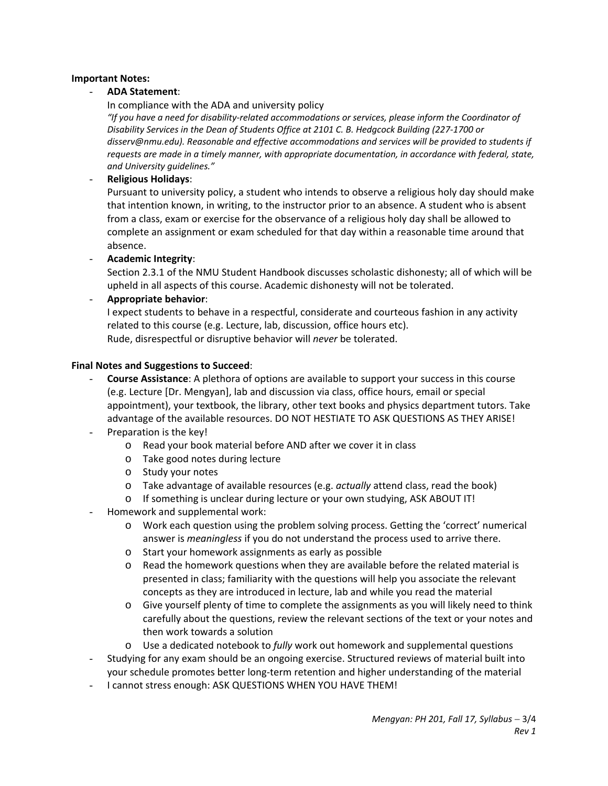#### **Important Notes:**

#### - **ADA Statement**:

In compliance with the ADA and university policy

*"If you have a need for disability‐related accommodations or services, please inform the Coordinator of Disability Services in the Dean of Students Office at 2101 C. B. Hedgcock Building (227‐1700 or disserv@nmu.edu). Reasonable and effective accommodations and services will be provided to students if requests are made in a timely manner, with appropriate documentation, in accordance with federal, state, and University guidelines."*

#### - **Religious Holidays**:

Pursuant to university policy, a student who intends to observe a religious holy day should make that intention known, in writing, to the instructor prior to an absence. A student who is absent from a class, exam or exercise for the observance of a religious holy day shall be allowed to complete an assignment or exam scheduled for that day within a reasonable time around that absence.

- **Academic Integrity**:

Section 2.3.1 of the NMU Student Handbook discusses scholastic dishonesty; all of which will be upheld in all aspects of this course. Academic dishonesty will not be tolerated.

#### - **Appropriate behavior**:

I expect students to behave in a respectful, considerate and courteous fashion in any activity related to this course (e.g. Lecture, lab, discussion, office hours etc). Rude, disrespectful or disruptive behavior will *never* be tolerated.

#### **Final Notes and Suggestions to Succeed**:

- **Course Assistance**: A plethora of options are available to support your success in this course (e.g. Lecture [Dr. Mengyan], lab and discussion via class, office hours, email or special appointment), your textbook, the library, other text books and physics department tutors. Take advantage of the available resources. DO NOT HESTIATE TO ASK QUESTIONS AS THEY ARISE!
- Preparation is the key!
	- o Read your book material before AND after we cover it in class
	- o Take good notes during lecture
	- o Study your notes
	- o Take advantage of available resources (e.g. *actually* attend class, read the book)
	- o If something is unclear during lecture or your own studying, ASK ABOUT IT!
- Homework and supplemental work:
	- o Work each question using the problem solving process. Getting the 'correct' numerical answer is *meaningless* if you do not understand the process used to arrive there.
	- o Start your homework assignments as early as possible
	- $\circ$  Read the homework questions when they are available before the related material is presented in class; familiarity with the questions will help you associate the relevant concepts as they are introduced in lecture, lab and while you read the material
	- o Give yourself plenty of time to complete the assignments as you will likely need to think carefully about the questions, review the relevant sections of the text or your notes and then work towards a solution
	- o Use a dedicated notebook to *fully* work out homework and supplemental questions
- Studying for any exam should be an ongoing exercise. Structured reviews of material built into your schedule promotes better long‐term retention and higher understanding of the material
- I cannot stress enough: ASK QUESTIONS WHEN YOU HAVE THEM!